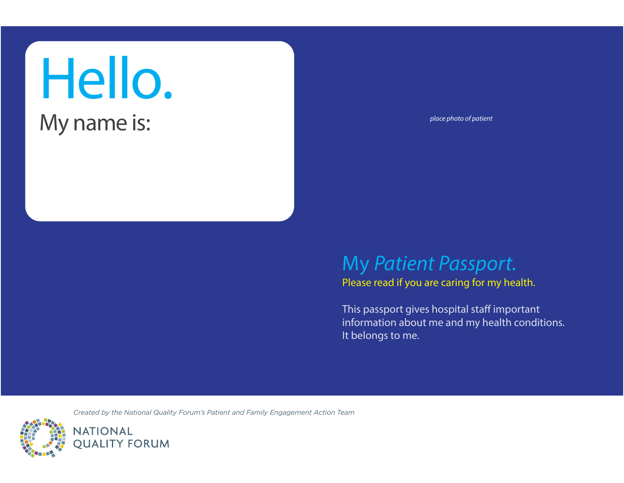# Hello.

### My name is:

*place photo of patient*

#### My *Patient Passport.*

Please read if you are caring for my health.

This passport gives hospital staff important information about me and my health conditions. It belongs to me.

*Created by the National Quality Forum's Patient and Family Engagement Action Team*

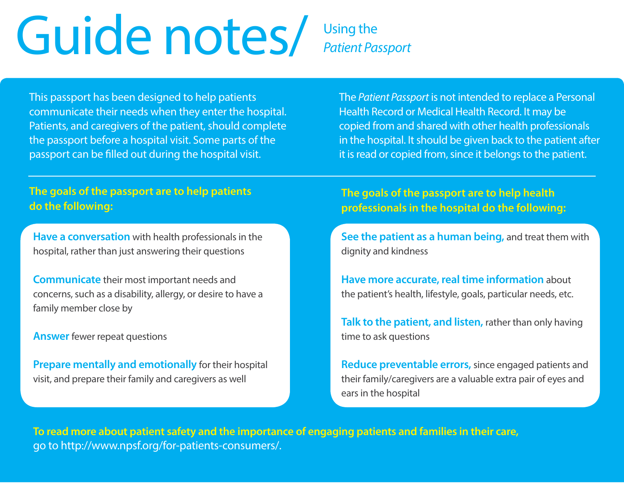### Guide notes/ Using the *Patient Passport*

This passport has been designed to help patients communicate their needs when they enter the hospital. Patients, and caregivers of the patient, should complete the passport before a hospital visit. Some parts of the passport can be filled out during the hospital visit.

The *Patient Passport* is not intended to replace a Personal Health Record or Medical Health Record. It may be copied from and shared with other health professionals in the hospital. It should be given back to the patient after it is read or copied from, since it belongs to the patient.

#### **The goals of the passport are to help patients do the following:**

**Have a conversation** with health professionals in the hospital, rather than just answering their questions

**Communicate** their most important needs and concerns, such as a disability, allergy, or desire to have a family member close by

**Answer** fewer repeat questions

**Prepare mentally and emotionally** for their hospital visit, and prepare their family and caregivers as well

**The goals of the passport are to help health professionals in the hospital do the following:**

**See the patient as a human being,** and treat them with dignity and kindness

**Have more accurate, real time information** about the patient's health, lifestyle, goals, particular needs, etc.

**Talk to the patient, and listen,** rather than only having time to ask questions

**Reduce preventable errors,** since engaged patients and their family/caregivers are a valuable extra pair of eyes and ears in the hospital

**To read more about patient safety and the importance of engaging patients and families in their care,**  go to http://www.npsf.org/for-patients-consumers/.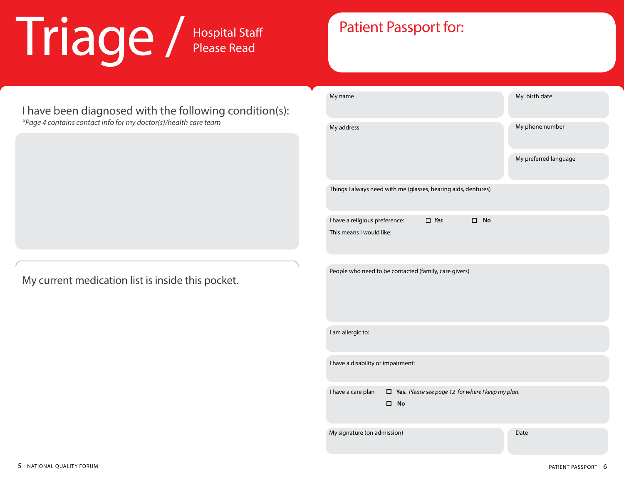## Triage / Hospital Staff

#### I have been diagnosed with the following condition(s):

*\*Page 4 contains contact info for my doctor(s)/health care team*

My current medication list is inside this pocket.

#### Patient Passport for:

| My name                                                                                          | My birth date         |
|--------------------------------------------------------------------------------------------------|-----------------------|
| My address                                                                                       | My phone number       |
|                                                                                                  | My preferred language |
| Things I always need with me (glasses, hearing aids, dentures)                                   |                       |
| I have a religious preference:<br>$\Box$ Yes<br>$\square$ No                                     |                       |
| This means I would like:                                                                         |                       |
| People who need to be contacted (family, care givers)                                            |                       |
| I am allergic to:                                                                                |                       |
| I have a disability or impairment:                                                               |                       |
| $\Box$ Yes. Please see page 12 for where I keep my plan.<br>I have a care plan<br>□<br><b>No</b> |                       |
| My signature (on admission)                                                                      | Date                  |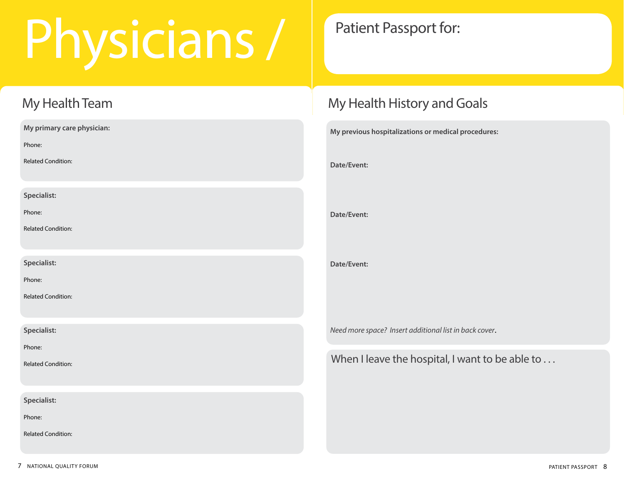## Physicians /

#### My Health Team

| My primary care physician: |
|----------------------------|
| Phone:                     |
| <b>Related Condition:</b>  |
| Specialist:                |
| Phone:                     |
| <b>Related Condition:</b>  |
| Specialist:                |
| Phone:                     |
| <b>Related Condition:</b>  |
| Specialist:                |
| Phone:                     |
| <b>Related Condition:</b>  |
| Specialist:                |
| Phone:                     |
| <b>Related Condition:</b>  |

#### Patient Passport for:

#### My Health History and Goals

| My previous hospitalizations or medical procedures: |
|-----------------------------------------------------|
| Date/Event:                                         |
|                                                     |
| Date/Event:                                         |
|                                                     |
| Date/Event:                                         |
|                                                     |

*Need more space? Insert additional list in back cover*.

When I leave the hospital, I want to be able to ...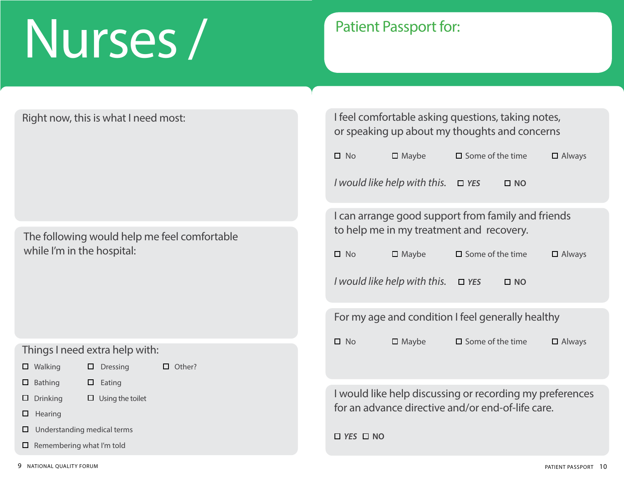### Nurses /

#### Patient Passport for:

Right now, this is what I need most:

The following would help me feel comfortable while I'm in the hospital:

#### Things I need extra help with:

□ Walking □ Dressing

□ Other?

- □ Bathing □ Eating
- □ Drinking □ Using the toilet
- **D** Hearing
- □ Understanding medical terms
- □ Remembering what I'm told

I feel comfortable asking questions, taking notes, or speaking up about my thoughts and concerns NoMaybe Some of the timeAlways *I* would like help with this. □ YES □ NO I can arrange good support from family and friends to help me in my treatment and recovery. NoMaybe Some of the timeAlways *I* would like help with this. □ YES □ NO For my age and condition I feel generally healthy □ No □ Maybe □ Some of the time □ Always

I would like help discussing or recording my preferences for an advance directive and/or end-of-life care.

 $\Box$  *YES*  $\Box$  NO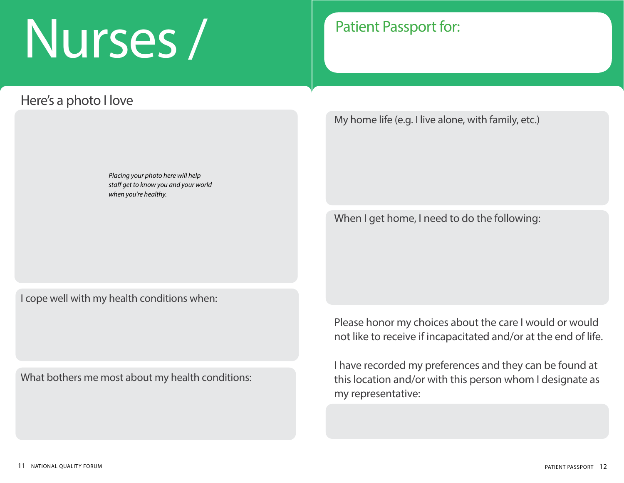### Nurses /

#### Here's a photo I love

*Placing your photo here will help staff get to know you and your world when you're healthy.*

#### Patient Passport for:

My home life (e.g. I live alone, with family, etc.)

When I get home, I need to do the following:

I cope well with my health conditions when:

What bothers me most about my health conditions:

Please honor my choices about the care I would or would not like to receive if incapacitated and/or at the end of life.

I have recorded my preferences and they can be found at this location and/or with this person whom I designate as my representative: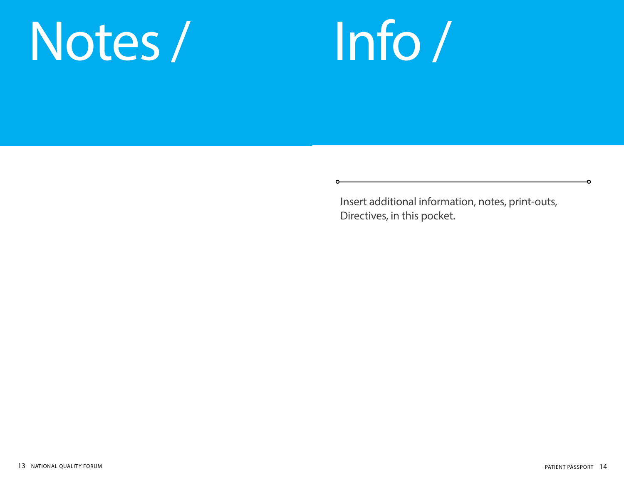### Notes /



Insert additional information, notes, print-outs, Directives, in this pocket.

 $\bullet$